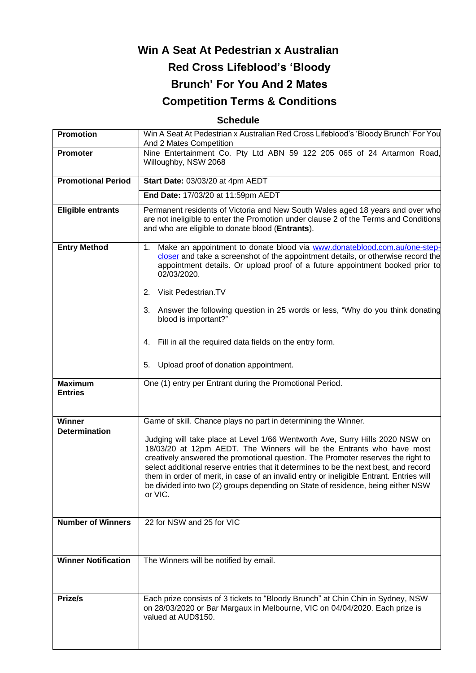# **Win A Seat At Pedestrian x Australian Red Cross Lifeblood's 'Bloody Brunch' For You And 2 Mates Competition Terms & Conditions**

## **Schedule**

| Promotion                        | Win A Seat At Pedestrian x Australian Red Cross Lifeblood's 'Bloody Brunch' For You<br>And 2 Mates Competition                                                                                                                                                                                                                                                                                                                                                                                                              |
|----------------------------------|-----------------------------------------------------------------------------------------------------------------------------------------------------------------------------------------------------------------------------------------------------------------------------------------------------------------------------------------------------------------------------------------------------------------------------------------------------------------------------------------------------------------------------|
| <b>Promoter</b>                  | Nine Entertainment Co. Pty Ltd ABN 59 122 205 065 of 24 Artarmon Road,<br>Willoughby, NSW 2068                                                                                                                                                                                                                                                                                                                                                                                                                              |
| <b>Promotional Period</b>        | Start Date: 03/03/20 at 4pm AEDT                                                                                                                                                                                                                                                                                                                                                                                                                                                                                            |
|                                  | End Date: 17/03/20 at 11:59pm AEDT                                                                                                                                                                                                                                                                                                                                                                                                                                                                                          |
| <b>Eligible entrants</b>         | Permanent residents of Victoria and New South Wales aged 18 years and over who<br>are not ineligible to enter the Promotion under clause 2 of the Terms and Conditions<br>and who are eligible to donate blood (Entrants).                                                                                                                                                                                                                                                                                                  |
| <b>Entry Method</b>              | Make an appointment to donate blood via www.donateblood.com.au/one-step-<br>1.<br>closer and take a screenshot of the appointment details, or otherwise record the<br>appointment details. Or upload proof of a future appointment booked prior to<br>02/03/2020.<br>Visit Pedestrian.TV                                                                                                                                                                                                                                    |
|                                  | 2.                                                                                                                                                                                                                                                                                                                                                                                                                                                                                                                          |
|                                  | Answer the following question in 25 words or less, "Why do you think donating<br>3.<br>blood is important?"                                                                                                                                                                                                                                                                                                                                                                                                                 |
|                                  | Fill in all the required data fields on the entry form.<br>4.                                                                                                                                                                                                                                                                                                                                                                                                                                                               |
|                                  | Upload proof of donation appointment.<br>5.                                                                                                                                                                                                                                                                                                                                                                                                                                                                                 |
| <b>Maximum</b><br><b>Entries</b> | One (1) entry per Entrant during the Promotional Period.                                                                                                                                                                                                                                                                                                                                                                                                                                                                    |
| <b>Winner</b>                    | Game of skill. Chance plays no part in determining the Winner.                                                                                                                                                                                                                                                                                                                                                                                                                                                              |
| <b>Determination</b>             | Judging will take place at Level 1/66 Wentworth Ave, Surry Hills 2020 NSW on<br>18/03/20 at 12pm AEDT. The Winners will be the Entrants who have most<br>creatively answered the promotional question. The Promoter reserves the right to<br>select additional reserve entries that it determines to be the next best, and record<br>them in order of merit, in case of an invalid entry or ineligible Entrant. Entries will<br>be divided into two (2) groups depending on State of residence, being either NSW<br>or VIC. |
| <b>Number of Winners</b>         | 22 for NSW and 25 for VIC                                                                                                                                                                                                                                                                                                                                                                                                                                                                                                   |
|                                  |                                                                                                                                                                                                                                                                                                                                                                                                                                                                                                                             |
| <b>Winner Notification</b>       | The Winners will be notified by email.                                                                                                                                                                                                                                                                                                                                                                                                                                                                                      |
| Prize/s                          | Each prize consists of 3 tickets to "Bloody Brunch" at Chin Chin in Sydney, NSW<br>on 28/03/2020 or Bar Margaux in Melbourne, VIC on 04/04/2020. Each prize is<br>valued at AUD\$150.                                                                                                                                                                                                                                                                                                                                       |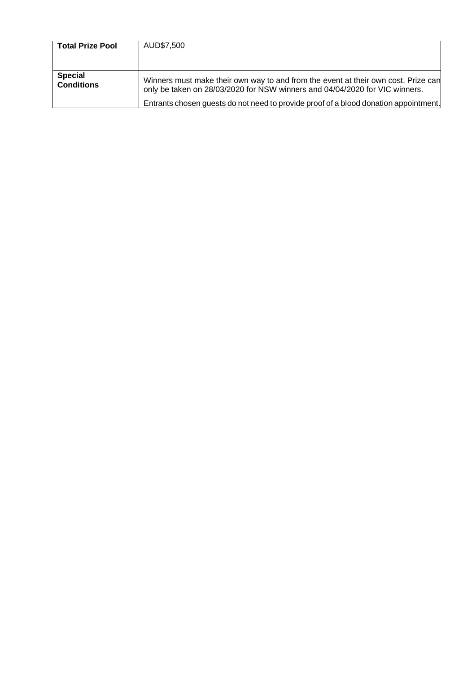| <b>Total Prize Pool</b>             | AUD\$7,500                                                                                                                                                        |
|-------------------------------------|-------------------------------------------------------------------------------------------------------------------------------------------------------------------|
| <b>Special</b><br><b>Conditions</b> | Winners must make their own way to and from the event at their own cost. Prize can<br>only be taken on 28/03/2020 for NSW winners and 04/04/2020 for VIC winners. |
|                                     | Entrants chosen guests do not need to provide proof of a blood donation appointment.                                                                              |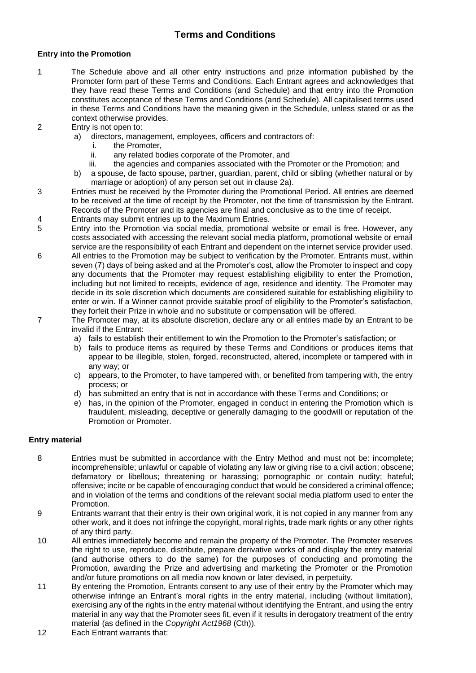## **Terms and Conditions**

#### **Entry into the Promotion**

- 1 The Schedule above and all other entry instructions and prize information published by the Promoter form part of these Terms and Conditions. Each Entrant agrees and acknowledges that they have read these Terms and Conditions (and Schedule) and that entry into the Promotion constitutes acceptance of these Terms and Conditions (and Schedule). All capitalised terms used in these Terms and Conditions have the meaning given in the Schedule, unless stated or as the context otherwise provides.
- 2 Entry is not open to:
	- a) directors, management, employees, officers and contractors of:
		- i. the Promoter,
		- ii. any related bodies corporate of the Promoter, and
		- iii. the agencies and companies associated with the Promoter or the Promotion; and
	- b) a spouse, de facto spouse, partner, guardian, parent, child or sibling (whether natural or by marriage or adoption) of any person set out in clause 2a).
- 3 Entries must be received by the Promoter during the Promotional Period. All entries are deemed to be received at the time of receipt by the Promoter, not the time of transmission by the Entrant. Records of the Promoter and its agencies are final and conclusive as to the time of receipt.
- 4 Entrants may submit entries up to the Maximum Entries.
- 5 Entry into the Promotion via social media, promotional website or email is free. However, any costs associated with accessing the relevant social media platform, promotional website or email service are the responsibility of each Entrant and dependent on the internet service provider used.
- 6 All entries to the Promotion may be subject to verification by the Promoter. Entrants must, within seven (7) days of being asked and at the Promoter's cost, allow the Promoter to inspect and copy any documents that the Promoter may request establishing eligibility to enter the Promotion, including but not limited to receipts, evidence of age, residence and identity. The Promoter may decide in its sole discretion which documents are considered suitable for establishing eligibility to enter or win. If a Winner cannot provide suitable proof of eligibility to the Promoter's satisfaction, they forfeit their Prize in whole and no substitute or compensation will be offered.
- 7 The Promoter may, at its absolute discretion, declare any or all entries made by an Entrant to be invalid if the Entrant:
	- a) fails to establish their entitlement to win the Promotion to the Promoter's satisfaction; or
	- b) fails to produce items as required by these Terms and Conditions or produces items that appear to be illegible, stolen, forged, reconstructed, altered, incomplete or tampered with in any way; or
	- c) appears, to the Promoter, to have tampered with, or benefited from tampering with, the entry process; or
	- d) has submitted an entry that is not in accordance with these Terms and Conditions; or
	- e) has, in the opinion of the Promoter, engaged in conduct in entering the Promotion which is fraudulent, misleading, deceptive or generally damaging to the goodwill or reputation of the Promotion or Promoter.

### **Entry material**

- 8 Entries must be submitted in accordance with the Entry Method and must not be: incomplete; incomprehensible; unlawful or capable of violating any law or giving rise to a civil action; obscene; defamatory or libellous; threatening or harassing; pornographic or contain nudity; hateful; offensive; incite or be capable of encouraging conduct that would be considered a criminal offence; and in violation of the terms and conditions of the relevant social media platform used to enter the Promotion.
- 9 Entrants warrant that their entry is their own original work, it is not copied in any manner from any other work, and it does not infringe the copyright, moral rights, trade mark rights or any other rights of any third party.
- 10 All entries immediately become and remain the property of the Promoter. The Promoter reserves the right to use, reproduce, distribute, prepare derivative works of and display the entry material (and authorise others to do the same) for the purposes of conducting and promoting the Promotion, awarding the Prize and advertising and marketing the Promoter or the Promotion and/or future promotions on all media now known or later devised, in perpetuity.
- 11 By entering the Promotion, Entrants consent to any use of their entry by the Promoter which may otherwise infringe an Entrant's moral rights in the entry material, including (without limitation), exercising any of the rights in the entry material without identifying the Entrant, and using the entry material in any way that the Promoter sees fit, even if it results in derogatory treatment of the entry material (as defined in the *Copyright Act1968* (Cth)).
- 12 Each Entrant warrants that: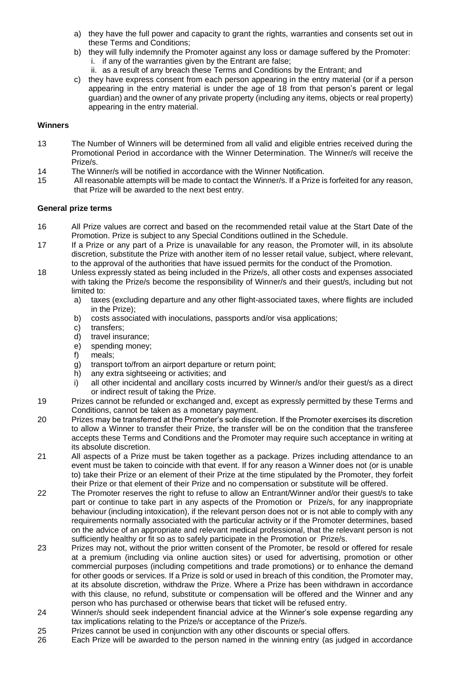- a) they have the full power and capacity to grant the rights, warranties and consents set out in these Terms and Conditions;
- b) they will fully indemnify the Promoter against any loss or damage suffered by the Promoter: i. if any of the warranties given by the Entrant are false;
	- ii. as a result of any breach these Terms and Conditions by the Entrant; and
- c) they have express consent from each person appearing in the entry material (or if a person appearing in the entry material is under the age of 18 from that person's parent or legal guardian) and the owner of any private property (including any items, objects or real property) appearing in the entry material.

#### **Winners**

- 13 The Number of Winners will be determined from all valid and eligible entries received during the Promotional Period in accordance with the Winner Determination. The Winner/s will receive the Prize/s.
- 14 The Winner/s will be notified in accordance with the Winner Notification.
- 15 All reasonable attempts will be made to contact the Winner/s. If a Prize is forfeited for any reason, that Prize will be awarded to the next best entry.

#### **General prize terms**

- 16 All Prize values are correct and based on the recommended retail value at the Start Date of the Promotion. Prize is subject to any Special Conditions outlined in the Schedule.
- 17 If a Prize or any part of a Prize is unavailable for any reason, the Promoter will, in its absolute discretion, substitute the Prize with another item of no lesser retail value, subject, where relevant, to the approval of the authorities that have issued permits for the conduct of the Promotion.
- 18 Unless expressly stated as being included in the Prize/s, all other costs and expenses associated with taking the Prize/s become the responsibility of Winner/s and their guest/s, including but not limited to:
	- a) taxes (excluding departure and any other flight-associated taxes, where flights are included in the Prize);
	- b) costs associated with inoculations, passports and/or visa applications;
	- c) transfers;
	- d) travel insurance;
	- e) spending money;
	- f) meals;
	- g) transport to/from an airport departure or return point;
	- h) any extra sightseeing or activities; and
	- i) all other incidental and ancillary costs incurred by Winner/s and/or their guest/s as a direct or indirect result of taking the Prize.
- 19 Prizes cannot be refunded or exchanged and, except as expressly permitted by these Terms and Conditions, cannot be taken as a monetary payment.
- 20 Prizes may be transferred at the Promoter's sole discretion. If the Promoter exercises its discretion to allow a Winner to transfer their Prize, the transfer will be on the condition that the transferee accepts these Terms and Conditions and the Promoter may require such acceptance in writing at its absolute discretion.
- 21 All aspects of a Prize must be taken together as a package. Prizes including attendance to an event must be taken to coincide with that event. If for any reason a Winner does not (or is unable to) take their Prize or an element of their Prize at the time stipulated by the Promoter, they forfeit their Prize or that element of their Prize and no compensation or substitute will be offered.
- 22 The Promoter reserves the right to refuse to allow an Entrant/Winner and/or their guest/s to take part or continue to take part in any aspects of the Promotion or Prize/s, for any inappropriate behaviour (including intoxication), if the relevant person does not or is not able to comply with any requirements normally associated with the particular activity or if the Promoter determines, based on the advice of an appropriate and relevant medical professional, that the relevant person is not sufficiently healthy or fit so as to safely participate in the Promotion or Prize/s.
- 23 Prizes may not, without the prior written consent of the Promoter, be resold or offered for resale at a premium (including via online auction sites) or used for advertising, promotion or other commercial purposes (including competitions and trade promotions) or to enhance the demand for other goods or services. If a Prize is sold or used in breach of this condition, the Promoter may, at its absolute discretion, withdraw the Prize. Where a Prize has been withdrawn in accordance with this clause, no refund, substitute or compensation will be offered and the Winner and any person who has purchased or otherwise bears that ticket will be refused entry.
- 24 Winner/s should seek independent financial advice at the Winner's sole expense regarding any tax implications relating to the Prize/s or acceptance of the Prize/s.
- 25 Prizes cannot be used in conjunction with any other discounts or special offers.
- 26 Each Prize will be awarded to the person named in the winning entry (as judged in accordance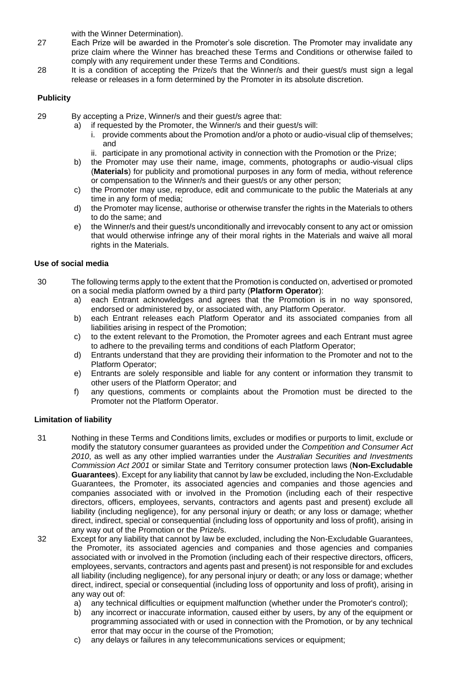with the Winner Determination).

- 27 Each Prize will be awarded in the Promoter's sole discretion. The Promoter may invalidate any prize claim where the Winner has breached these Terms and Conditions or otherwise failed to comply with any requirement under these Terms and Conditions.
- 28 It is a condition of accepting the Prize/s that the Winner/s and their guest/s must sign a legal release or releases in a form determined by the Promoter in its absolute discretion.

#### **Publicity**

- 29 By accepting a Prize, Winner/s and their guest/s agree that:
	- a) if requested by the Promoter, the Winner/s and their guest/s will:
		- i. provide comments about the Promotion and/or a photo or audio-visual clip of themselves; and
		- ii. participate in any promotional activity in connection with the Promotion or the Prize;
	- b) the Promoter may use their name, image, comments, photographs or audio-visual clips (**Materials**) for publicity and promotional purposes in any form of media, without reference or compensation to the Winner/s and their guest/s or any other person;
	- c) the Promoter may use, reproduce, edit and communicate to the public the Materials at any time in any form of media;
	- d) the Promoter may license, authorise or otherwise transfer the rights in the Materials to others to do the same; and
	- e) the Winner/s and their guest/s unconditionally and irrevocably consent to any act or omission that would otherwise infringe any of their moral rights in the Materials and waive all moral rights in the Materials.

#### **Use of social media**

- 30 The following terms apply to the extent that the Promotion is conducted on, advertised or promoted on a social media platform owned by a third party (**Platform Operator**):
	- a) each Entrant acknowledges and agrees that the Promotion is in no way sponsored, endorsed or administered by, or associated with, any Platform Operator.
	- b) each Entrant releases each Platform Operator and its associated companies from all liabilities arising in respect of the Promotion;
	- c) to the extent relevant to the Promotion, the Promoter agrees and each Entrant must agree to adhere to the prevailing terms and conditions of each Platform Operator;
	- d) Entrants understand that they are providing their information to the Promoter and not to the Platform Operator;
	- e) Entrants are solely responsible and liable for any content or information they transmit to other users of the Platform Operator; and
	- f) any questions, comments or complaints about the Promotion must be directed to the Promoter not the Platform Operator.

#### **Limitation of liability**

- 31 Nothing in these Terms and Conditions limits, excludes or modifies or purports to limit, exclude or modify the statutory consumer guarantees as provided under the *Competition and Consumer Act 2010*, as well as any other implied warranties under the *Australian Securities and Investments Commission Act 2001* or similar State and Territory consumer protection laws (**Non-Excludable Guarantees**). Except for any liability that cannot by law be excluded, including the Non-Excludable Guarantees, the Promoter, its associated agencies and companies and those agencies and companies associated with or involved in the Promotion (including each of their respective directors, officers, employees, servants, contractors and agents past and present) exclude all liability (including negligence), for any personal injury or death; or any loss or damage; whether direct, indirect, special or consequential (including loss of opportunity and loss of profit), arising in any way out of the Promotion or the Prize/s.
- 32 Except for any liability that cannot by law be excluded, including the Non-Excludable Guarantees, the Promoter, its associated agencies and companies and those agencies and companies associated with or involved in the Promotion (including each of their respective directors, officers, employees, servants, contractors and agents past and present) is not responsible for and excludes all liability (including negligence), for any personal injury or death; or any loss or damage; whether direct, indirect, special or consequential (including loss of opportunity and loss of profit), arising in any way out of:
	- a) any technical difficulties or equipment malfunction (whether under the Promoter's control);
	- b) any incorrect or inaccurate information, caused either by users, by any of the equipment or programming associated with or used in connection with the Promotion, or by any technical error that may occur in the course of the Promotion;
	- c) any delays or failures in any telecommunications services or equipment;